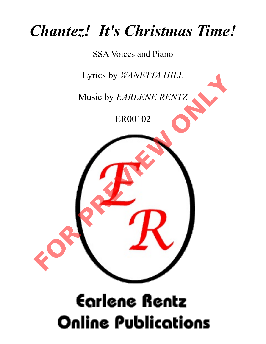## *Chantez! It's Christmas Time!*

SSA Voices and Piano

Lyrics by *WANETTA HILL*

Music by *EARLENE RENTZ*

ER00102



## **Earlene Rentz Online Publications**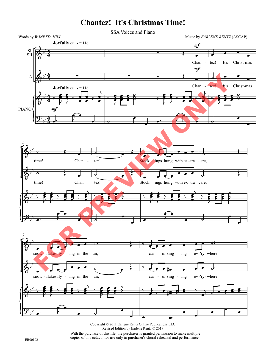## **Chantez! It's Christmas Time!**

SSA Voices and Piano

 $\left( \frac{\partial}{\partial t} \right)$  $\left[\begin{smallmatrix} \bigcirc & b & 1 \\ 0 & 0 & 1 \end{smallmatrix}\right]$  ${\mathbf e}$  $\overline{\mathbf{2}}$  $\varphi$   $\sim$  ${\frac{1}{2}}$  $\left( \frac{\partial}{\partial x} + \frac{\partial}{\partial y} + \frac{\partial}{\partial z} \right)$  $\left(\begin{smallmatrix} \bullet & \bullet \\ \bullet & \bullet \end{smallmatrix}\right)$  ${\frac{1}{2}}$ Words by *WANETTA HILL* **Joyfully** ca.  $\sqrt{ } = 116$ **Joyfully** ca.  $\sqrt{ } = 116$ Music by *EARLENE RENTZ* (ASCAP) PIANO *5 9* 4  $\frac{4}{4}$ 4  $\frac{4}{4}$  $4 \frac{1}{2}$  is a final set of  $\frac{1}{2}$  $4, 3, 3$  $4 \quad \overline{\quad}$  $\frac{4}{4}$  .  $\oint_{0}^{b} \frac{4}{4}$  $\overline{b_4}$ SI<br>SII  $\frac{\text{SI}}{\text{O}}$   $\frac{1}{4}$   $\frac{1}{2}$   $\frac{1}{2}$   $\frac{1}{2}$   $\frac{1}{2}$   $\frac{1}{2}$   $\frac{1}{2}$   $\frac{1}{2}$   $\frac{1}{2}$   $\frac{1}{2}$   $\frac{1}{2}$   $\frac{1}{2}$   $\frac{1}{2}$   $\frac{1}{2}$   $\frac{1}{2}$   $\frac{1}{2}$   $\frac{1}{2}$   $\frac{1}{2}$   $\frac{1}{2}$   $\frac{1}{2}$   $\frac{1}{$ Chan - tez! mf It's Christ-mas  $\oint_{0}^{p} \frac{4}{4}$  $A \left| \bigoplus_{\alpha} P_{\alpha} \right|$ Chan - Tez! mf It's Christ-mas  $\oint^{\nu_4}$  $\frac{1}{4}$  $9\frac{6}{9}\frac{4}{4}$  .  $\frac{1}{2}$ mf  $\phi^{\flat}$  $\frac{1}{\sqrt{2}}$ time! Chan - tez! Stock - ings hung with ex -tra care,  $\phi^{\flat}$  $\frac{1}{2}$ time! Chan - tez! Stock - ings hung with ex -tra care,  $\phi^{\flat}$  ;  $\frac{3}{2}$  $\frac{1}{2}$  $9\frac{1}{2}$ .  $\overline{\phantom{a}}$  $\phi^{\flat}$  $\overline{\mathbf{b}}$  $\frac{\text{snow - flakes fly}}{\text{snow - flakes fly}}$ - ing in the air, car - ol sing - ing ev-'ry- where,  $\phi^{\flat}$  $\rightarrow$ snow - flakes fly - ing in the air, and car - ol sing - ing ev-'ry- where,  $\phi^{\flat}$  :  $\frac{3}{2}$  $\frac{1}{2}$  $2\frac{1}{2}$ .  $\overline{\phantom{a}}$  $\overrightarrow{c}$  $\bullet$   $\bullet$   $\bullet$ œ  $\overrightarrow{c}$  $\bullet$   $\bullet$   $\bullet$ œ  $, 88, 8$  $\frac{1}{2}$   $\frac{1}{2}$   $\frac{1}{2}$   $\frac{1}{2}$   $\frac{1}{2}$  $7\sqrt{2}$  $y = 2$   $y = 2$  $5.575$  $\frac{1}{2}$  $=$   $\frac{1}{2}$   $\frac{1}{2}$   $\frac{1}{2}$   $\frac{1}{2}$   $\frac{1}{2}$   $\frac{1}{2}$   $\frac{1}{2}$  $\frac{1}{2}$  ,  $\frac{1}{2}$  $\mathcal{L}$  $\frac{1}{2}$   $\frac{2}{3}$   $\frac{2}{5}$   $\frac{2}{5}$   $\frac{2}{7}$  $\frac{2}{3}$   $\frac{2}{3}$   $\frac{2}{5}$   $\frac{2}{5}$  $\frac{1}{2}$   $\frac{1}{2}$   $\frac{1}{2}$   $\frac{1}{2}$  $\frac{2}{3}$  $\frac{e}{2}$   $\frac{e}{2}$  $\frac{e}{2}$   $\frac{e}{2}$  $\frac{3}{2}$   $\frac{1}{2}$   $\frac{3}{2}$   $\frac{5}{2}$   $\frac{1}{2}$   $\frac{1}{2}$  $\frac{1}{2}$   $\frac{1}{2}$   $\frac{1}{2}$   $\frac{1}{2}$   $\frac{1}{2}$  $\overline{y}$  $75578$  $2.978$ EX S  $=$   $\frac{1}{2}$   $\frac{1}{2}$   $\frac{1}{2}$   $\frac{1}{2}$   $\frac{1}{2}$  $\left| \cdot \right|$  $\overline{)}$  $7,6,6,6,8$  $\frac{2}{3}$   $\frac{2}{3}$   $\frac{2}{5}$   $\frac{2}{5}$  $\frac{1}{2}$   $\frac{1}{2}$   $\frac{1}{2}$   $\frac{1}{2}$  $\frac{2}{3}$  $\frac{e}{2}$   $\frac{e}{2}$  $\frac{e}{2}$   $\frac{e}{2}$  $\overline{\mathbf{e}}$ <sup>œ</sup>™ <sup>œ</sup>  $\int$  $\bullet$   $\circ$  $\overline{\phantom{a}}$  $\overrightarrow{e}$  $\mathcal{P}$  $\mathbb{R}$  $\bullet$   $\bullet$  $\overline{\phantom{a}}$  $\overline{\phantom{0}}$  $\circ$   $\bullet$   $\circ$   $\circ$   $\circ$   $\circ$   $\circ$   $\circ$  $\epsilon \rightarrow \epsilon$  $\bullet$   $\bullet$   $\circ$   $\circ$   $\bullet$   $\bullet$  $\circ$   $\bullet$   $\bullet$   $\bullet$  $\sum_{i=1}^n a_i$  $\bullet$   $\bullet$   $\circ$   $\bullet$   $\bullet$  $x, 6, 6, 6, 6$  $\frac{2}{7}$   $\frac{2}{7}$   $\frac{2}{9}$   $\frac{2}{9}$  $7\frac{1}{2}$  $\frac{9}{9}$   $\frac{9}{9}$   $\frac{9}{9}$   $\frac{9}{9}$  $2, 3, 3$  $\frac{1}{2}$   $\frac{1}{2}$   $\frac{1}{2}$  $2, 3, 3$  $\mathbf{E}$  $\frac{1}{2}$  $\nu \approx 28$  $88.6$  $\frac{1}{2}$  $\mathcal{E}$  $\epsilon$   $\approx$  $\frac{e}{2}$   $\frac{e}{2}$   $\frac{e}{2}$   $\frac{e}{2}$  $\frac{2}{3}$  ;  $\frac{1}{3}$  ;  $\frac{1}{3}$  ;  $\frac{1}{3}$  $\frac{1}{2}$   $\frac{1}{2}$   $\frac{1}{2}$   $\frac{1}{2}$   $\frac{1}{2}$  $5$   $\rightarrow$   $3$  $\frac{9}{9}$   $\frac{9}{9}$   $\frac{9}{9}$   $\frac{9}{9}$  $2, 2, 3$  $\frac{1}{2}$   $\frac{1}{2}$   $\frac{1}{2}$  $\frac{2}{3}$   $\frac{1}{3}$   $\frac{1}{3}$   $\frac{2}{3}$  $\frac{e^{\prime}}{e}$  ,  $\frac{e}{e}$  $\mathcal{L}$  $\frac{1}{2}$   $\frac{2}{3}$   $\frac{2}{5}$   $\frac{2}{5}$   $\frac{2}{5}$ œ  $\frac{2}{3}$   $\frac{2}{3}$   $\frac{2}{3}$  $\frac{2}{3}$  $\frac{e}{2}$   $\frac{e}{2}$  $\frac{2}{3}$   $\frac{2}{3}$  $\frac{2}{3}$ <sup>œ</sup>™ <sup>œ</sup>  $\widehat{H}$  $\sim$   $\sim$  $\overline{\phantom{a}}$  $\overrightarrow{e}$ <sup>œ</sup>™ <sup>œ</sup>  $\int$  $\bullet$   $\circ$  $\bullet$  $\overrightarrow{a}$  $\bullet$   $\bullet$   $\bullet$   $\bullet$  $\bullet$   $\bullet$   $\circ$   $\bullet$   $\bullet$   $\bullet$   $\bullet$   $\bullet$  $j \rightarrow e$   $e^x$ ™  $\overrightarrow{e}$  $\bullet$   $\bullet$   $\circ$   $\circ$   $\bullet$   $\bullet$   $\bullet$   $\bullet$   $\bullet$  $\left\langle \cdot\right\rangle$   $\left\langle \cdot\right\rangle$   $\left\langle \cdot\right\rangle$  $\int$ e #e e  $\int$ e e  $\frac{1}{\sqrt{2}}$  $x, 6, 6, 7, 8$  $\frac{2}{3}$   $\frac{1}{3}$   $\frac{1}{3}$   $\frac{1}{3}$   $\frac{1}{3}$  $\overline{y}$  $y = 2$   $y = 2$  $2, 2, 3$  $\frac{1}{2}$   $\frac{1}{2}$   $\frac{1}{2}$  $\frac{2}{9}$   $\frac{1}{9}$   $\frac{2}{9}$   $\frac{1}{9}$  $\frac{1}{2}$  ,  $\frac{1}{2}$  $\overline{y}$  $\frac{1}{2}$   $\frac{2}{5}$   $\frac{2}{5}$   $\frac{2}{5}$   $\frac{2}{5}$  $\frac{2}{3}$   $\frac{2}{3}$   $\frac{2}{5}$   $\frac{2}{5}$  $\frac{2}{3}$   $\frac{2}{3}$   $\frac{2}{3}$   $\frac{2}{3}$  $\frac{2}{3}$   $\frac{2}{3}$   $\frac{2}{3}$  $\frac{e}{2}$   $\frac{e}{2}$  $\frac{2}{3}$   $\frac{2}{3}$   $\frac{1}{3}$  $\frac{1}{2}$   $\frac{1}{2}$   $\frac{1}{2}$   $\frac{1}{2}$   $\frac{1}{2}$  $\frac{1}{2}$  $e_{\mu}$  ; ? #œ œ  $\bullet$   $\rightarrow$   $\bullet$   $\bullet$  $j \circ \bullet \circ \circ \circ \circ$ œ <sup>œ</sup>™ <sup>œ</sup>  $\int$  $\bullet$   $\bullet$   $\bullet$  $\overline{\phantom{a}}$  $\bullet$   $\bullet$   $\bullet$   $\bullet$  $\overline{\phantom{a}}$  $\overline{\phantom{a}}$  $\overline{\phantom{a}}$  $\bullet$ œ **FOR SUCHARIST STATISTICS**<br> **FOR SUCHARIST STATISTICS**<br> **FOR SUCHARIST STATISTICS**<br> **FOR SUCHARIST STATISTICS**<br> **FOR SUCHARIST STATISTICS**<br> **FOR SUCHARIST STATISTICS**<br> **FOR SUCHARIST STATISTICS**<br> **FOR SUCHARIST STATISTICS** 

Copyright © 2011 Earlene Rentz Online Publications LLC Revised Edition by Earlene Rentz © 2019

With the purchase of this file, the purchaser is granted permission to make multiple copies of this octavo, for use only in purchaser's choral rehearsal and performance.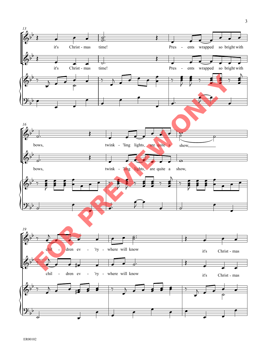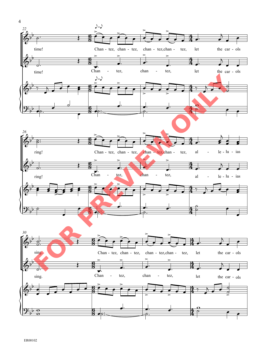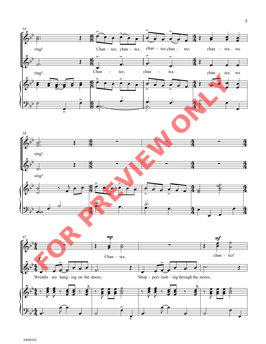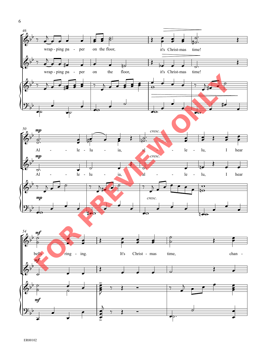